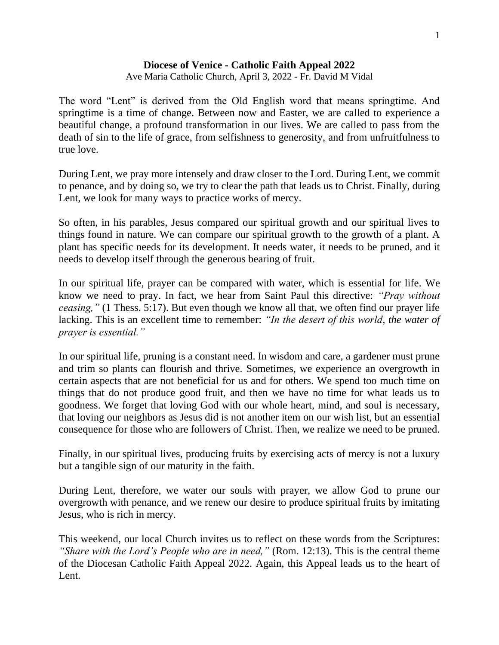## **Diocese of Venice - Catholic Faith Appeal 2022**

Ave Maria Catholic Church, April 3, 2022 - Fr. David M Vidal

The word "Lent" is derived from the Old English word that means springtime. And springtime is a time of change. Between now and Easter, we are called to experience a beautiful change, a profound transformation in our lives. We are called to pass from the death of sin to the life of grace, from selfishness to generosity, and from unfruitfulness to true love.

During Lent, we pray more intensely and draw closer to the Lord. During Lent, we commit to penance, and by doing so, we try to clear the path that leads us to Christ. Finally, during Lent, we look for many ways to practice works of mercy.

So often, in his parables, Jesus compared our spiritual growth and our spiritual lives to things found in nature. We can compare our spiritual growth to the growth of a plant. A plant has specific needs for its development. It needs water, it needs to be pruned, and it needs to develop itself through the generous bearing of fruit.

In our spiritual life, prayer can be compared with water, which is essential for life. We know we need to pray. In fact, we hear from Saint Paul this directive: *"Pray without ceasing,"* (1 Thess. 5:17). But even though we know all that, we often find our prayer life lacking. This is an excellent time to remember: *"In the desert of this world, the water of prayer is essential."*

In our spiritual life, pruning is a constant need. In wisdom and care, a gardener must prune and trim so plants can flourish and thrive. Sometimes, we experience an overgrowth in certain aspects that are not beneficial for us and for others. We spend too much time on things that do not produce good fruit, and then we have no time for what leads us to goodness. We forget that loving God with our whole heart, mind, and soul is necessary, that loving our neighbors as Jesus did is not another item on our wish list, but an essential consequence for those who are followers of Christ. Then, we realize we need to be pruned.

Finally, in our spiritual lives, producing fruits by exercising acts of mercy is not a luxury but a tangible sign of our maturity in the faith.

During Lent, therefore, we water our souls with prayer, we allow God to prune our overgrowth with penance, and we renew our desire to produce spiritual fruits by imitating Jesus, who is rich in mercy.

This weekend, our local Church invites us to reflect on these words from the Scriptures: *"Share with the Lord's People who are in need,"* (Rom. 12:13). This is the central theme of the Diocesan Catholic Faith Appeal 2022. Again, this Appeal leads us to the heart of Lent.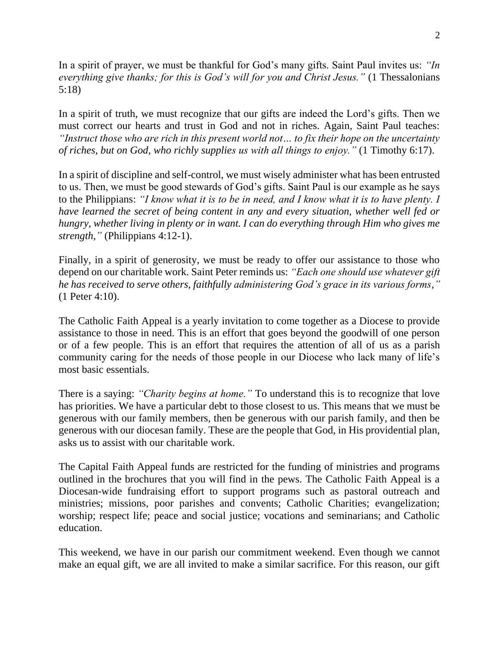In a spirit of prayer, we must be thankful for God's many gifts. Saint Paul invites us: *"In everything give thanks; for this is God's will for you and Christ Jesus."* (1 Thessalonians 5:18)

In a spirit of truth, we must recognize that our gifts are indeed the Lord's gifts. Then we must correct our hearts and trust in God and not in riches. Again, Saint Paul teaches: *"Instruct those who are rich in this present world not… to fix their hope on the uncertainty of riches, but on God, who richly supplies us with all things to enjoy."* (1 Timothy 6:17).

In a spirit of discipline and self-control, we must wisely administer what has been entrusted to us. Then, we must be good stewards of God's gifts. Saint Paul is our example as he says to the Philippians: *"I know what it is to be in need, and I know what it is to have plenty. I have learned the secret of being content in any and every situation, whether well fed or hungry, whether living in plenty or in want. I can do everything through Him who gives me strength,"* (Philippians 4:12-1).

Finally, in a spirit of generosity, we must be ready to offer our assistance to those who depend on our charitable work. Saint Peter reminds us: *"Each one should use whatever gift he has received to serve others, faithfully administering God's grace in its various forms,"*  (1 Peter 4:10).

The Catholic Faith Appeal is a yearly invitation to come together as a Diocese to provide assistance to those in need. This is an effort that goes beyond the goodwill of one person or of a few people. This is an effort that requires the attention of all of us as a parish community caring for the needs of those people in our Diocese who lack many of life's most basic essentials.

There is a saying: *"Charity begins at home."* To understand this is to recognize that love has priorities. We have a particular debt to those closest to us. This means that we must be generous with our family members, then be generous with our parish family, and then be generous with our diocesan family. These are the people that God, in His providential plan, asks us to assist with our charitable work.

The Capital Faith Appeal funds are restricted for the funding of ministries and programs outlined in the brochures that you will find in the pews. The Catholic Faith Appeal is a Diocesan-wide fundraising effort to support programs such as pastoral outreach and ministries; missions, poor parishes and convents; Catholic Charities; evangelization; worship; respect life; peace and social justice; vocations and seminarians; and Catholic education.

This weekend, we have in our parish our commitment weekend. Even though we cannot make an equal gift, we are all invited to make a similar sacrifice. For this reason, our gift